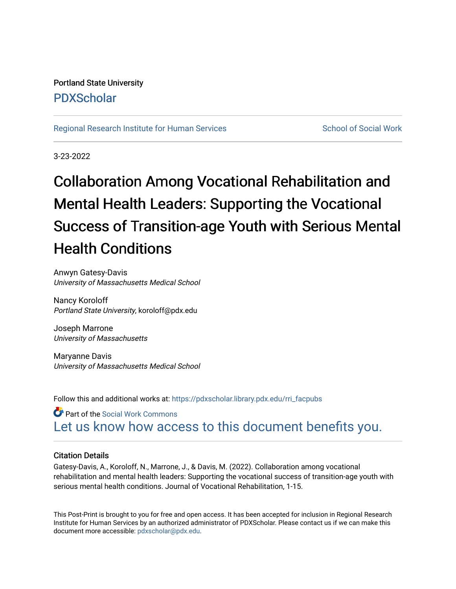# Portland State University [PDXScholar](https://pdxscholar.library.pdx.edu/)

# [Regional Research Institute for Human Services](https://pdxscholar.library.pdx.edu/rri_facpubs) School of Social Work

3-23-2022

# Collaboration Among Vocational Rehabilitation and Mental Health Leaders: Supporting the Vocational Success of Transition-age Youth with Serious Mental Health Conditions

Anwyn Gatesy-Davis University of Massachusetts Medical School

Nancy Koroloff Portland State University, koroloff@pdx.edu

Joseph Marrone University of Massachusetts

Maryanne Davis University of Massachusetts Medical School

Follow this and additional works at: [https://pdxscholar.library.pdx.edu/rri\\_facpubs](https://pdxscholar.library.pdx.edu/rri_facpubs?utm_source=pdxscholar.library.pdx.edu%2Frri_facpubs%2F95&utm_medium=PDF&utm_campaign=PDFCoverPages) 

Part of the [Social Work Commons](http://network.bepress.com/hgg/discipline/713?utm_source=pdxscholar.library.pdx.edu%2Frri_facpubs%2F95&utm_medium=PDF&utm_campaign=PDFCoverPages) [Let us know how access to this document benefits you.](http://library.pdx.edu/services/pdxscholar-services/pdxscholar-feedback/?ref=https://pdxscholar.library.pdx.edu/rri_facpubs/95) 

# Citation Details

Gatesy-Davis, A., Koroloff, N., Marrone, J., & Davis, M. (2022). Collaboration among vocational rehabilitation and mental health leaders: Supporting the vocational success of transition-age youth with serious mental health conditions. Journal of Vocational Rehabilitation, 1-15.

This Post-Print is brought to you for free and open access. It has been accepted for inclusion in Regional Research Institute for Human Services by an authorized administrator of PDXScholar. Please contact us if we can make this document more accessible: [pdxscholar@pdx.edu.](mailto:pdxscholar@pdx.edu)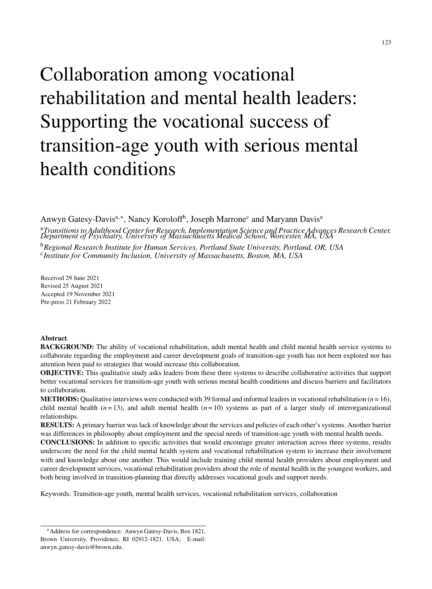# Collaboration among vocational rehabilitation and mental health leaders: Supporting the vocational success of transition-age youth with serious mental health conditions

Anwyn Gatesy-Davis<sup>a,∗</sup>, Nancy Koroloff<sup>b</sup>, Joseph Marrone<sup>c</sup> and Maryann Davis<sup>a</sup>

<sup>a</sup>Transitions to Adulthood Center for Research, Implementation Science and Practice Advances Research Center,<br>Department of Psychiatry, University of Massachusetts Medical School, Worcester, MA, USA <sup>b</sup>*Regional Research Institute for Human Services, Portland State University, Portland, OR, USA* c *Institute for Community Inclusion, University of Massachusetts, Boston, MA, USA*

Received 29 June 2021 Revised 25 August 2021 Accepted 19 November 2021 Pre-press 21 February 2022

# **Abstract**.

**BACKGROUND:** The ability of vocational rehabilitation, adult mental health and child mental health service systems to collaborate regarding the employment and career development goals of transition-age youth has not been explored nor has attention been paid to strategies that would increase this collaboration.

**OBJECTIVE:** This qualitative study asks leaders from these three systems to describe collaborative activities that support better vocational services for transition-age youth with serious mental health conditions and discuss barriers and facilitators to collaboration.

**METHODS:** Qualitative interviews were conducted with 39 formal and informal leaders in vocational rehabilitation  $(n = 16)$ , child mental health  $(n=13)$ , and adult mental health  $(n=10)$  systems as part of a larger study of interorganizational relationships.

**RESULTS:** A primary barrier was lack of knowledge about the services and policies of each other's systems. Another barrier was differences in philosophy about employment and the special needs of transition-age youth with mental health needs.

**CONCLUSIONS:** In addition to specific activities that would encourage greater interaction across three systems, results underscore the need for the child mental health system and vocational rehabilitation system to increase their involvement with and knowledge about one another. This would include training child mental health providers about employment and career development services, vocational rehabilitation providers about the role of mental health in the youngest workers, and both being involved in transition-planning that directly addresses vocational goals and support needs.

Keywords: Transition-age youth, mental health services, vocational rehabilitation services, collaboration

<sup>∗</sup>Address for correspondence: Anwyn Gatesy-Davis, Box 1821, Brown University, Providence, RI 02912-1821, USA; E-mail: anwyn [gatesy-davis@brown.edu](mailto:anwyn_gatesy-davis@brown.edu).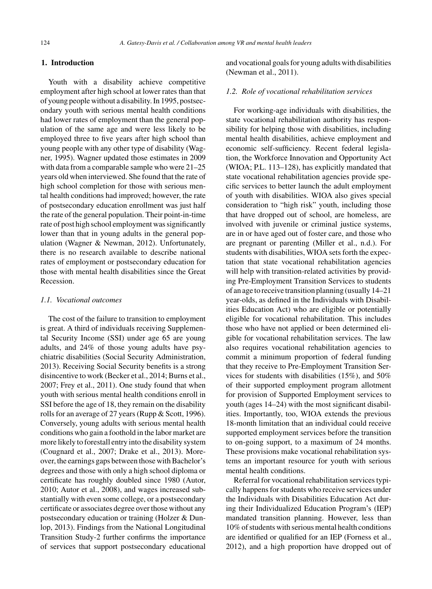# **1. Introduction**

Youth with a disability achieve competitive employment after high school at lower rates than that of young people without a disability. In 1995, postsecondary youth with serious mental health conditions had lower rates of employment than the general population of the same age and were less likely to be employed three to five years after high school than young people with any other type of disability (Wagner, 1995). Wagner updated those estimates in 2009 with data from a comparable sample who were 21–25 years old when interviewed. She found that the rate of high school completion for those with serious mental health conditions had improved; however, the rate of postsecondary education enrollment was just half the rate of the general population. Their point-in-time rate of post high school employment was significantly lower than that in young adults in the general population (Wagner & Newman, 2012). Unfortunately, there is no research available to describe national rates of employment or postsecondary education for those with mental health disabilities since the Great Recession.

# *1.1. Vocational outcomes*

The cost of the failure to transition to employment is great. A third of individuals receiving Supplemental Security Income (SSI) under age 65 are young adults, and 24% of those young adults have psychiatric disabilities (Social Security Administration, 2013). Receiving Social Security benefits is a strong disincentive to work (Becker et al., 2014; Burns et al., 2007; Frey et al., 2011). One study found that when youth with serious mental health conditions enroll in SSI before the age of 18, they remain on the disability rolls for an average of 27 years (Rupp & Scott, 1996). Conversely, young adults with serious mental health conditions who gain a foothold in the labor market are more likely to forestall entry into the disability system (Cougnard et al., 2007; Drake et al., 2013). Moreover, the earnings gaps between those with Bachelor's degrees and those with only a high school diploma or certificate has roughly doubled since 1980 (Autor, 2010; Autor et al., 2008), and wages increased substantially with even some college, or a postsecondary certificate or associates degree over those without any postsecondary education or training (Holzer & Dunlop, 2013). Findings from the National Longitudinal Transition Study-2 further confirms the importance of services that support postsecondary educational

and vocational goals for young adults with disabilities (Newman et al., 2011).

### *1.2. Role of vocational rehabilitation services*

For working-age individuals with disabilities, the state vocational rehabilitation authority has responsibility for helping those with disabilities, including mental health disabilities, achieve employment and economic self-sufficiency. Recent federal legislation, the Workforce Innovation and Opportunity Act (WIOA; P.L. 113–128), has explicitly mandated that state vocational rehabilitation agencies provide specific services to better launch the adult employment of youth with disabilities. WIOA also gives special consideration to "high risk" youth, including those that have dropped out of school, are homeless, are involved with juvenile or criminal justice systems, are in or have aged out of foster care, and those who are pregnant or parenting (Miller et al., n.d.). For students with disabilities, WIOA sets forth the expectation that state vocational rehabilitation agencies will help with transition-related activities by providing Pre-Employment Transition Services to students of an age to receive transition planning (usually 14–21 year-olds, as defined in the Individuals with Disabilities Education Act) who are eligible or potentially eligible for vocational rehabilitation. This includes those who have not applied or been determined eligible for vocational rehabilitation services. The law also requires vocational rehabilitation agencies to commit a minimum proportion of federal funding that they receive to Pre-Employment Transition Services for students with disabilities (15%), and 50% of their supported employment program allotment for provision of Supported Employment services to youth (ages 14–24) with the most significant disabilities. Importantly, too, WIOA extends the previous 18-month limitation that an individual could receive supported employment services before the transition to on-going support, to a maximum of 24 months. These provisions make vocational rehabilitation systems an important resource for youth with serious mental health conditions.

Referral for vocational rehabilitation services typically happens for students who receive services under the Individuals with Disabilities Education Act during their Individualized Education Program's (IEP) mandated transition planning. However, less than 10% of students with serious mental health conditions are identified or qualified for an IEP (Forness et al., 2012), and a high proportion have dropped out of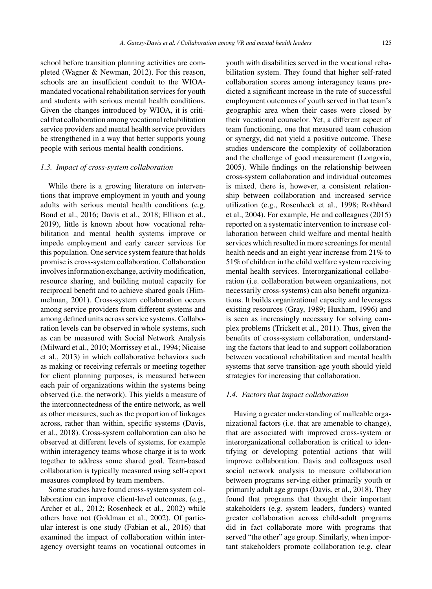school before transition planning activities are completed (Wagner & Newman, 2012). For this reason, schools are an insufficient conduit to the WIOAmandated vocational rehabilitation services for youth and students with serious mental health conditions. Given the changes introduced by WIOA, it is critical that collaboration among vocational rehabilitation service providers and mental health service providers be strengthened in a way that better supports young people with serious mental health conditions.

# *1.3. Impact of cross-system collaboration*

While there is a growing literature on interventions that improve employment in youth and young adults with serious mental health conditions (e.g. Bond et al., 2016; Davis et al., 2018; Ellison et al., 2019), little is known about how vocational rehabilitation and mental health systems improve or impede employment and early career services for this population. One service system feature that holds promise is cross-system collaboration. Collaboration involves information exchange, activity modification, resource sharing, and building mutual capacity for reciprocal benefit and to achieve shared goals (Himmelman, 2001). Cross-system collaboration occurs among service providers from different systems and among defined units across service systems. Collaboration levels can be observed in whole systems, such as can be measured with Social Network Analysis (Milward et al., 2010; Morrissey et al., 1994; Nicaise et al., 2013) in which collaborative behaviors such as making or receiving referrals or meeting together for client planning purposes, is measured between each pair of organizations within the systems being observed (i.e. the network). This yields a measure of the interconnectedness of the entire network, as well as other measures, such as the proportion of linkages across, rather than within, specific systems (Davis, et al., 2018). Cross-system collaboration can also be observed at different levels of systems, for example within interagency teams whose charge it is to work together to address some shared goal. Team-based collaboration is typically measured using self-report measures completed by team members.

Some studies have found cross-system system collaboration can improve client-level outcomes, (e.g., Archer et al., 2012; Rosenheck et al., 2002) while others have not (Goldman et al., 2002). Of particular interest is one study (Fabian et al., 2016) that examined the impact of collaboration within interagency oversight teams on vocational outcomes in youth with disabilities served in the vocational rehabilitation system. They found that higher self-rated collaboration scores among interagency teams predicted a significant increase in the rate of successful employment outcomes of youth served in that team's geographic area when their cases were closed by their vocational counselor. Yet, a different aspect of team functioning, one that measured team cohesion or synergy, did not yield a positive outcome. These studies underscore the complexity of collaboration and the challenge of good measurement (Longoria, 2005). While findings on the relationship between cross-system collaboration and individual outcomes is mixed, there is, however, a consistent relationship between collaboration and increased service utilization (e.g., Rosenheck et al., 1998; Rothbard et al., 2004). For example, He and colleagues (2015) reported on a systematic intervention to increase collaboration between child welfare and mental health services which resulted in more screenings for mental health needs and an eight-year increase from 21% to 51% of children in the child welfare system receiving mental health services. Interorganizational collaboration (i.e. collaboration between organizations, not necessarily cross-systems) can also benefit organizations. It builds organizational capacity and leverages existing resources (Gray, 1989; Huxham, 1996) and is seen as increasingly necessary for solving complex problems (Trickett et al., 2011). Thus, given the benefits of cross-system collaboration, understanding the factors that lead to and support collaboration between vocational rehabilitation and mental health systems that serve transition-age youth should yield strategies for increasing that collaboration.

## *1.4. Factors that impact collaboration*

Having a greater understanding of malleable organizational factors (i.e. that are amenable to change), that are associated with improved cross-system or interorganizational collaboration is critical to identifying or developing potential actions that will improve collaboration. Davis and colleagues used social network analysis to measure collaboration between programs serving either primarily youth or primarily adult age groups (Davis, et al., 2018). They found that programs that thought their important stakeholders (e.g. system leaders, funders) wanted greater collaboration across child-adult programs did in fact collaborate more with programs that served "the other" age group. Similarly, when important stakeholders promote collaboration (e.g. clear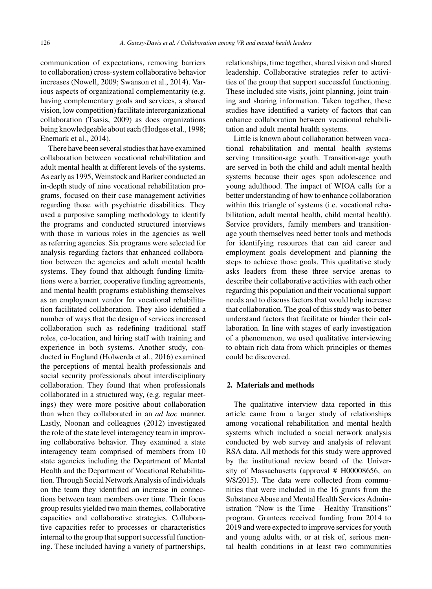communication of expectations, removing barriers to collaboration) cross-system collaborative behavior increases (Nowell, 2009; Swanson et al., 2014). Various aspects of organizational complementarity (e.g. having complementary goals and services, a shared vision, low competition) facilitate interorganizational collaboration (Tsasis, 2009) as does organizations being knowledgeable about each (Hodges et al., 1998; Enemark et al., 2014).

There have been several studies that have examined collaboration between vocational rehabilitation and adult mental health at different levels of the systems. As early as 1995, Weinstock and Barker conducted an in-depth study of nine vocational rehabilitation programs, focused on their case management activities regarding those with psychiatric disabilities. They used a purposive sampling methodology to identify the programs and conducted structured interviews with those in various roles in the agencies as well as referring agencies. Six programs were selected for analysis regarding factors that enhanced collaboration between the agencies and adult mental health systems. They found that although funding limitations were a barrier, cooperative funding agreements, and mental health programs establishing themselves as an employment vendor for vocational rehabilitation facilitated collaboration. They also identified a number of ways that the design of services increased collaboration such as redefining traditional staff roles, co-location, and hiring staff with training and experience in both systems. Another study, conducted in England (Holwerda et al., 2016) examined the perceptions of mental health professionals and social security professionals about interdisciplinary collaboration. They found that when professionals collaborated in a structured way, (e.g. regular meetings) they were more positive about collaboration than when they collaborated in an *ad hoc* manner. Lastly, Noonan and colleagues (2012) investigated the role of the state level interagency team in improving collaborative behavior. They examined a state interagency team comprised of members from 10 state agencies including the Department of Mental Health and the Department of Vocational Rehabilitation. Through Social Network Analysis of individuals on the team they identified an increase in connections between team members over time. Their focus group results yielded two main themes, collaborative capacities and collaborative strategies. Collaborative capacities refer to processes or characteristics internal to the group that support successful functioning. These included having a variety of partnerships,

relationships, time together, shared vision and shared leadership. Collaborative strategies refer to activities of the group that support successful functioning. These included site visits, joint planning, joint training and sharing information. Taken together, these studies have identified a variety of factors that can enhance collaboration between vocational rehabilitation and adult mental health systems.

Little is known about collaboration between vocational rehabilitation and mental health systems serving transition-age youth. Transition-age youth are served in both the child and adult mental health systems because their ages span adolescence and young adulthood. The impact of WIOA calls for a better understanding of how to enhance collaboration within this triangle of systems (i.e. vocational rehabilitation, adult mental health, child mental health). Service providers, family members and transitionage youth themselves need better tools and methods for identifying resources that can aid career and employment goals development and planning the steps to achieve those goals. This qualitative study asks leaders from these three service arenas to describe their collaborative activities with each other regarding this population and their vocational support needs and to discuss factors that would help increase that collaboration. The goal of this study was to better understand factors that facilitate or hinder their collaboration. In line with stages of early investigation of a phenomenon, we used qualitative interviewing to obtain rich data from which principles or themes could be discovered.

# **2. Materials and methods**

The qualitative interview data reported in this article came from a larger study of relationships among vocational rehabilitation and mental health systems which included a social network analysis conducted by web survey and analysis of relevant RSA data. All methods for this study were approved by the institutional review board of the University of Massachusetts (approval # H00008656, on 9/8/2015). The data were collected from communities that were included in the 16 grants from the Substance Abuse and Mental Health Services Administration "Now is the Time - Healthy Transitions" program. Grantees received funding from 2014 to 2019 and were expected to improve services for youth and young adults with, or at risk of, serious mental health conditions in at least two communities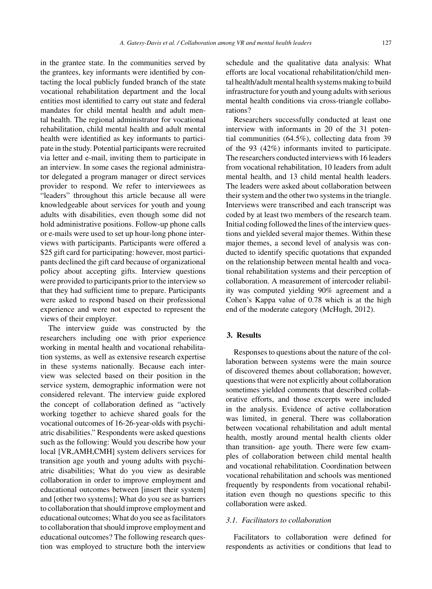in the grantee state. In the communities served by the grantees, key informants were identified by contacting the local publicly funded branch of the state vocational rehabilitation department and the local entities most identified to carry out state and federal mandates for child mental health and adult mental health. The regional administrator for vocational rehabilitation, child mental health and adult mental health were identified as key informants to participate in the study. Potential participants were recruited via letter and e-mail, inviting them to participate in an interview. In some cases the regional administrator delegated a program manager or direct services provider to respond. We refer to interviewees as "leaders" throughout this article because all were knowledgeable about services for youth and young adults with disabilities, even though some did not hold administrative positions. Follow-up phone calls or e-mails were used to set up hour-long phone interviews with participants. Participants were offered a \$25 gift card for participating: however, most participants declined the gift card because of organizational policy about accepting gifts. Interview questions were provided to participants prior to the interview so that they had sufficient time to prepare. Participants were asked to respond based on their professional experience and were not expected to represent the views of their employer.

The interview guide was constructed by the researchers including one with prior experience working in mental health and vocational rehabilitation systems, as well as extensive research expertise in these systems nationally. Because each interview was selected based on their position in the service system, demographic information were not considered relevant. The interview guide explored the concept of collaboration defined as "actively working together to achieve shared goals for the vocational outcomes of 16-26-year-olds with psychiatric disabilities." Respondents were asked questions such as the following: Would you describe how your local [VR,AMH,CMH] system delivers services for transition age youth and young adults with psychiatric disabilities; What do you view as desirable collaboration in order to improve employment and educational outcomes between [insert their system] and [other two systems]; What do you see as barriers to collaboration that should improve employment and educational outcomes; What do you see as facilitators to collaboration that should improve employment and educational outcomes? The following research question was employed to structure both the interview

schedule and the qualitative data analysis: What efforts are local vocational rehabilitation/child mental health/adult mental health systems making to build infrastructure for youth and young adults with serious mental health conditions via cross-triangle collaborations?

Researchers successfully conducted at least one interview with informants in 20 of the 31 potential communities (64.5%), collecting data from 39 of the 93 (42%) informants invited to participate. The researchers conducted interviews with 16 leaders from vocational rehabilitation, 10 leaders from adult mental health, and 13 child mental health leaders. The leaders were asked about collaboration between their system and the other two systems in the triangle. Interviews were transcribed and each transcript was coded by at least two members of the research team. Initial coding followed the lines of the interview questions and yielded several major themes. Within these major themes, a second level of analysis was conducted to identify specific quotations that expanded on the relationship between mental health and vocational rehabilitation systems and their perception of collaboration. A measurement of intercoder reliability was computed yielding 90% agreement and a Cohen's Kappa value of 0.78 which is at the high end of the moderate category (McHugh, 2012).

# **3. Results**

Responses to questions about the nature of the collaboration between systems were the main source of discovered themes about collaboration; however, questions that were not explicitly about collaboration sometimes yielded comments that described collaborative efforts, and those excerpts were included in the analysis. Evidence of active collaboration was limited, in general. There was collaboration between vocational rehabilitation and adult mental health, mostly around mental health clients older than transition- age youth. There were few examples of collaboration between child mental health and vocational rehabilitation. Coordination between vocational rehabilitation and schools was mentioned frequently by respondents from vocational rehabilitation even though no questions specific to this collaboration were asked.

# *3.1. Facilitators to collaboration*

Facilitators to collaboration were defined for respondents as activities or conditions that lead to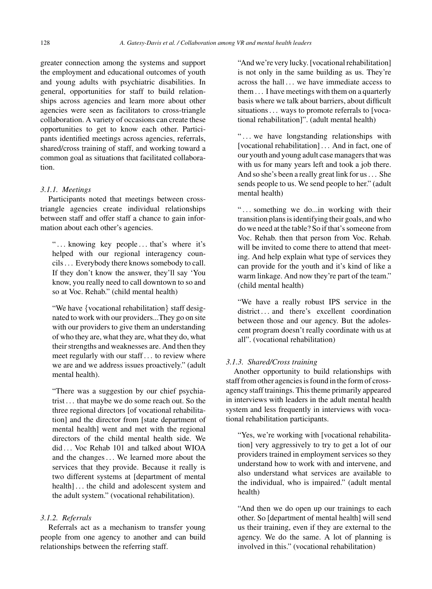greater connection among the systems and support the employment and educational outcomes of youth and young adults with psychiatric disabilities. In general, opportunities for staff to build relationships across agencies and learn more about other agencies were seen as facilitators to cross-triangle collaboration. A variety of occasions can create these opportunities to get to know each other. Participants identified meetings across agencies, referrals, shared/cross training of staff, and working toward a common goal as situations that facilitated collaboration.

# *3.1.1. Meetings*

Participants noted that meetings between crosstriangle agencies create individual relationships between staff and offer staff a chance to gain information about each other's agencies.

"... knowing key people... that's where it's helped with our regional interagency councils . . . Everybody there knows somebody to call. If they don't know the answer, they'll say 'You know, you really need to call downtown to so and so at Voc. Rehab." (child mental health)

"We have {vocational rehabilitation} staff designated to work with our providers...They go on site with our providers to give them an understanding of who they are, what they are, what they do, what their strengths and weaknesses are. And then they meet regularly with our staff . . . to review where we are and we address issues proactively." (adult mental health).

"There was a suggestion by our chief psychiatrist . . . that maybe we do some reach out. So the three regional directors [of vocational rehabilitation] and the director from [state department of mental health] went and met with the regional directors of the child mental health side. We did ... Voc Rehab 101 and talked about WIOA and the changes . . . We learned more about the services that they provide. Because it really is two different systems at [department of mental health]... the child and adolescent system and the adult system." (vocational rehabilitation).

# *3.1.2. Referrals*

Referrals act as a mechanism to transfer young people from one agency to another and can build relationships between the referring staff.

"And we're very lucky. [vocational rehabilitation] is not only in the same building as us. They're across the hall ... we have immediate access to them . . . I have meetings with them on a quarterly basis where we talk about barriers, about difficult situations . . . ways to promote referrals to [vocational rehabilitation]". (adult mental health)

"... we have longstanding relationships with [vocational rehabilitation] . . . And in fact, one of our youth and young adult case managers that was with us for many years left and took a job there. And so she's been a really great link for us . . . She sends people to us. We send people to her." (adult mental health)

"... something we do...in working with their transition plans is identifying their goals, and who do we need at the table? So if that's someone from Voc. Rehab. then that person from Voc. Rehab. will be invited to come there to attend that meeting. And help explain what type of services they can provide for the youth and it's kind of like a warm linkage. And now they're part of the team." (child mental health)

"We have a really robust IPS service in the district ... and there's excellent coordination between those and our agency. But the adolescent program doesn't really coordinate with us at all". (vocational rehabilitation)

# *3.1.3. Shared/Cross training*

Another opportunity to build relationships with staff from other agencies is found in the form of crossagency staff trainings. This theme primarily appeared in interviews with leaders in the adult mental health system and less frequently in interviews with vocational rehabilitation participants.

"Yes, we're working with [vocational rehabilitation] very aggressively to try to get a lot of our providers trained in employment services so they understand how to work with and intervene, and also understand what services are available to the individual, who is impaired." (adult mental health)

"And then we do open up our trainings to each other. So [department of mental health] will send us their training, even if they are external to the agency. We do the same. A lot of planning is involved in this." (vocational rehabilitation)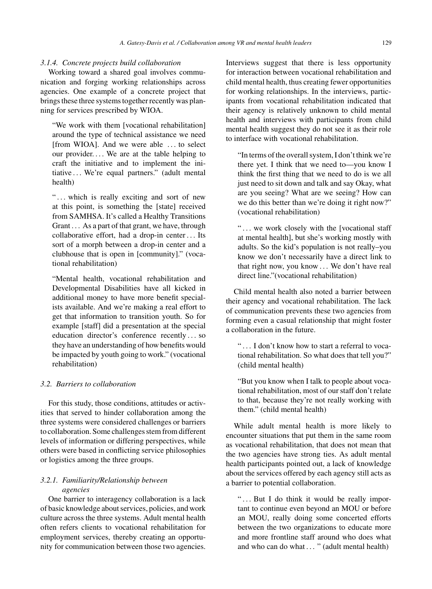# *3.1.4. Concrete projects build collaboration*

Working toward a shared goal involves communication and forging working relationships across agencies. One example of a concrete project that brings these three systems together recently was planning for services prescribed by WIOA.

"We work with them [vocational rehabilitation] around the type of technical assistance we need [from WIOA]. And we were able . . . to select our provider.... We are at the table helping to craft the initiative and to implement the initiative . . . We're equal partners." (adult mental health)

"... which is really exciting and sort of new at this point, is something the [state] received from SAMHSA. It's called a Healthy Transitions Grant . . . As a part of that grant, we have, through collaborative effort, had a drop-in center . . . Its sort of a morph between a drop-in center and a clubhouse that is open in [community]." (vocational rehabilitation)

"Mental health, vocational rehabilitation and Developmental Disabilities have all kicked in additional money to have more benefit specialists available. And we're making a real effort to get that information to transition youth. So for example [staff] did a presentation at the special education director's conference recently . . . so they have an understanding of how benefits would be impacted by youth going to work." (vocational rehabilitation)

# *3.2. Barriers to collaboration*

For this study, those conditions, attitudes or activities that served to hinder collaboration among the three systems were considered challenges or barriers to collaboration. Some challenges stem from different levels of information or differing perspectives, while others were based in conflicting service philosophies or logistics among the three groups.

# *3.2.1. Familiarity/Relationship between agencies*

One barrier to interagency collaboration is a lack of basic knowledge about services, policies, and work culture across the three systems. Adult mental health often refers clients to vocational rehabilitation for employment services, thereby creating an opportunity for communication between those two agencies.

Interviews suggest that there is less opportunity for interaction between vocational rehabilitation and child mental health, thus creating fewer opportunities for working relationships. In the interviews, participants from vocational rehabilitation indicated that their agency is relatively unknown to child mental health and interviews with participants from child mental health suggest they do not see it as their role to interface with vocational rehabilitation.

"In terms of the overall system, I don't think we're there yet. I think that we need to—you know I think the first thing that we need to do is we all just need to sit down and talk and say Okay, what are you seeing? What are we seeing? How can we do this better than we're doing it right now?" (vocational rehabilitation)

"... we work closely with the [vocational staff at mental health], but she's working mostly with adults. So the kid's population is not really–you know we don't necessarily have a direct link to that right now, you know . . . We don't have real direct line."(vocational rehabilitation)

Child mental health also noted a barrier between their agency and vocational rehabilitation. The lack of communication prevents these two agencies from forming even a casual relationship that might foster a collaboration in the future.

" . . . I don't know how to start a referral to vocational rehabilitation. So what does that tell you?" (child mental health)

"But you know when I talk to people about vocational rehabilitation, most of our staff don't relate to that, because they're not really working with them." (child mental health)

While adult mental health is more likely to encounter situations that put them in the same room as vocational rehabilitation, that does not mean that the two agencies have strong ties. As adult mental health participants pointed out, a lack of knowledge about the services offered by each agency still acts as a barrier to potential collaboration.

"... But I do think it would be really important to continue even beyond an MOU or before an MOU, really doing some concerted efforts between the two organizations to educate more and more frontline staff around who does what and who can do what . . . " (adult mental health)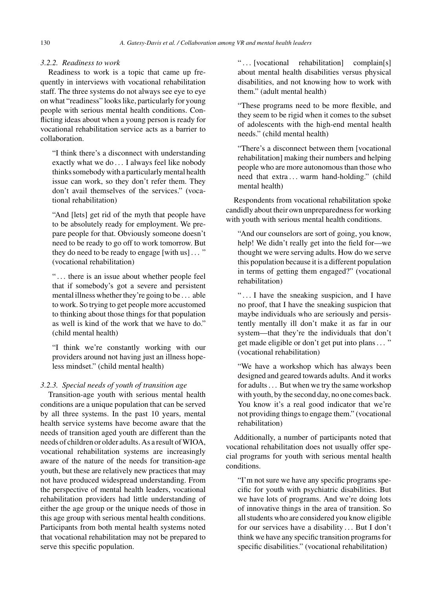# *3.2.2. Readiness to work*

Readiness to work is a topic that came up frequently in interviews with vocational rehabilitation staff. The three systems do not always see eye to eye on what "readiness" looks like, particularly for young people with serious mental health conditions. Conflicting ideas about when a young person is ready for vocational rehabilitation service acts as a barrier to collaboration.

"I think there's a disconnect with understanding exactly what we do . . . I always feel like nobody thinks somebody with a particularly mental health issue can work, so they don't refer them. They don't avail themselves of the services." (vocational rehabilitation)

"And [lets] get rid of the myth that people have to be absolutely ready for employment. We prepare people for that. Obviously someone doesn't need to be ready to go off to work tomorrow. But they do need to be ready to engage [with us] . . . " (vocational rehabilitation)

"... there is an issue about whether people feel that if somebody's got a severe and persistent mental illness whether they're going to be . . . able to work. So trying to get people more accustomed to thinking about those things for that population as well is kind of the work that we have to do." (child mental health)

"I think we're constantly working with our providers around not having just an illness hopeless mindset." (child mental health)

# *3.2.3. Special needs of youth of transition age*

Transition-age youth with serious mental health conditions are a unique population that can be served by all three systems. In the past 10 years, mental health service systems have become aware that the needs of transition aged youth are different than the needs of children or older adults. As a result of WIOA, vocational rehabilitation systems are increasingly aware of the nature of the needs for transition-age youth, but these are relatively new practices that may not have produced widespread understanding. From the perspective of mental health leaders, vocational rehabilitation providers had little understanding of either the age group or the unique needs of those in this age group with serious mental health conditions. Participants from both mental health systems noted that vocational rehabilitation may not be prepared to serve this specific population.

"... [vocational rehabilitation] complain[s] about mental health disabilities versus physical disabilities, and not knowing how to work with them." (adult mental health)

"These programs need to be more flexible, and they seem to be rigid when it comes to the subset of adolescents with the high-end mental health needs." (child mental health)

"There's a disconnect between them [vocational rehabilitation] making their numbers and helping people who are more autonomous than those who need that extra ... warm hand-holding." (child mental health)

Respondents from vocational rehabilitation spoke candidly about their own unpreparedness for working with youth with serious mental health conditions.

"And our counselors are sort of going, you know, help! We didn't really get into the field for—we thought we were serving adults. How do we serve this population because it is a different population in terms of getting them engaged?" (vocational rehabilitation)

"... I have the sneaking suspicion, and I have no proof, that I have the sneaking suspicion that maybe individuals who are seriously and persistently mentally ill don't make it as far in our system—that they're the individuals that don't get made eligible or don't get put into plans . . . " (vocational rehabilitation)

"We have a workshop which has always been designed and geared towards adults. And it works for adults . . . But when we try the same workshop with youth, by the second day, no one comes back. You know it's a real good indicator that we're not providing things to engage them." (vocational rehabilitation)

Additionally, a number of participants noted that vocational rehabilitation does not usually offer special programs for youth with serious mental health conditions.

"I'm not sure we have any specific programs specific for youth with psychiatric disabilities. But we have lots of programs. And we're doing lots of innovative things in the area of transition. So all students who are considered you know eligible for our services have a disability ... But I don't think we have any specific transition programs for specific disabilities." (vocational rehabilitation)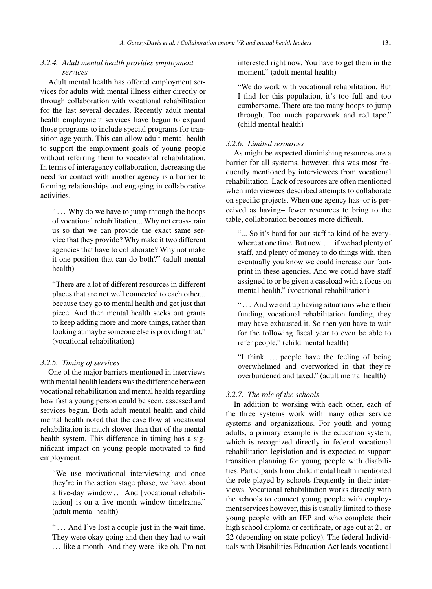# *3.2.4. Adult mental health provides employment services*

Adult mental health has offered employment services for adults with mental illness either directly or through collaboration with vocational rehabilitation for the last several decades. Recently adult mental health employment services have begun to expand those programs to include special programs for transition age youth. This can allow adult mental health to support the employment goals of young people without referring them to vocational rehabilitation. In terms of interagency collaboration, decreasing the need for contact with another agency is a barrier to forming relationships and engaging in collaborative activities.

"... Why do we have to jump through the hoops" of vocational rehabilitation... Why not cross-train us so that we can provide the exact same service that they provide? Why make it two different agencies that have to collaborate? Why not make it one position that can do both?" (adult mental health)

"There are a lot of different resources in different places that are not well connected to each other... because they go to mental health and get just that piece. And then mental health seeks out grants to keep adding more and more things, rather than looking at maybe someone else is providing that." (vocational rehabilitation)

# *3.2.5. Timing of services*

One of the major barriers mentioned in interviews with mental health leaders was the difference between vocational rehabilitation and mental health regarding how fast a young person could be seen, assessed and services begun. Both adult mental health and child mental health noted that the case flow at vocational rehabilitation is much slower than that of the mental health system. This difference in timing has a significant impact on young people motivated to find employment.

"We use motivational interviewing and once they're in the action stage phase, we have about a five-day window . . . And [vocational rehabilitation] is on a five month window timeframe." (adult mental health)

"... And I've lost a couple just in the wait time. They were okay going and then they had to wait . . . like a month. And they were like oh, I'm not interested right now. You have to get them in the moment." (adult mental health)

"We do work with vocational rehabilitation. But I find for this population, it's too full and too cumbersome. There are too many hoops to jump through. Too much paperwork and red tape." (child mental health)

# *3.2.6. Limited resources*

As might be expected diminishing resources are a barrier for all systems, however, this was most frequently mentioned by interviewees from vocational rehabilitation. Lack of resources are often mentioned when interviewees described attempts to collaborate on specific projects. When one agency has–or is perceived as having– fewer resources to bring to the table, collaboration becomes more difficult.

"... So it's hard for our staff to kind of be everywhere at one time. But now . . . if we had plenty of staff, and plenty of money to do things with, then eventually you know we could increase our footprint in these agencies. And we could have staff assigned to or be given a caseload with a focus on mental health." (vocational rehabilitation)

"... And we end up having situations where their funding, vocational rehabilitation funding, they may have exhausted it. So then you have to wait for the following fiscal year to even be able to refer people." (child mental health)

"I think ... people have the feeling of being overwhelmed and overworked in that they're overburdened and taxed." (adult mental health)

## *3.2.7. The role of the schools*

In addition to working with each other, each of the three systems work with many other service systems and organizations. For youth and young adults, a primary example is the education system, which is recognized directly in federal vocational rehabilitation legislation and is expected to support transition planning for young people with disabilities. Participants from child mental health mentioned the role played by schools frequently in their interviews. Vocational rehabilitation works directly with the schools to connect young people with employment services however, this is usually limited to those young people with an IEP and who complete their high school diploma or certificate, or age out at 21 or 22 (depending on state policy). The federal Individuals with Disabilities Education Act leads vocational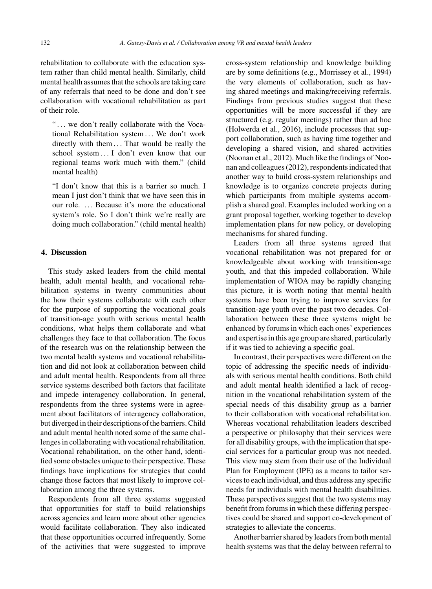rehabilitation to collaborate with the education system rather than child mental health. Similarly, child mental health assumes that the schools are taking care of any referrals that need to be done and don't see collaboration with vocational rehabilitation as part of their role.

"... we don't really collaborate with the Vocational Rehabilitation system . . . We don't work directly with them ... That would be really the school system . . . I don't even know that our regional teams work much with them." (child mental health)

"I don't know that this is a barrier so much. I mean I just don't think that we have seen this in our role. ... Because it's more the educational system's role. So I don't think we're really are doing much collaboration." (child mental health)

# **4. Discussion**

This study asked leaders from the child mental health, adult mental health, and vocational rehabilitation systems in twenty communities about the how their systems collaborate with each other for the purpose of supporting the vocational goals of transition-age youth with serious mental health conditions, what helps them collaborate and what challenges they face to that collaboration. The focus of the research was on the relationship between the two mental health systems and vocational rehabilitation and did not look at collaboration between child and adult mental health. Respondents from all three service systems described both factors that facilitate and impede interagency collaboration. In general, respondents from the three systems were in agreement about facilitators of interagency collaboration, but diverged in their descriptions of the barriers. Child and adult mental health noted some of the same challenges in collaborating with vocational rehabilitation. Vocational rehabilitation, on the other hand, identified some obstacles unique to their perspective. These findings have implications for strategies that could change those factors that most likely to improve collaboration among the three systems.

Respondents from all three systems suggested that opportunities for staff to build relationships across agencies and learn more about other agencies would facilitate collaboration. They also indicated that these opportunities occurred infrequently. Some of the activities that were suggested to improve

cross-system relationship and knowledge building are by some definitions (e.g., Morrissey et al., 1994) the very elements of collaboration, such as having shared meetings and making/receiving referrals. Findings from previous studies suggest that these opportunities will be more successful if they are structured (e.g. regular meetings) rather than ad hoc (Holwerda et al., 2016), include processes that support collaboration, such as having time together and developing a shared vision, and shared activities (Noonan et al., 2012). Much like the findings of Noonan and colleagues (2012), respondents indicated that another way to build cross-system relationships and knowledge is to organize concrete projects during which participants from multiple systems accomplish a shared goal. Examples included working on a grant proposal together, working together to develop implementation plans for new policy, or developing mechanisms for shared funding.

Leaders from all three systems agreed that vocational rehabilitation was not prepared for or knowledgeable about working with transition-age youth, and that this impeded collaboration. While implementation of WIOA may be rapidly changing this picture, it is worth noting that mental health systems have been trying to improve services for transition-age youth over the past two decades. Collaboration between these three systems might be enhanced by forums in which each ones' experiences and expertise in this age group are shared, particularly if it was tied to achieving a specific goal.

In contrast, their perspectives were different on the topic of addressing the specific needs of individuals with serious mental health conditions. Both child and adult mental health identified a lack of recognition in the vocational rehabilitation system of the special needs of this disability group as a barrier to their collaboration with vocational rehabilitation. Whereas vocational rehabilitation leaders described a perspective or philosophy that their services were for all disability groups, with the implication that special services for a particular group was not needed. This view may stem from their use of the Individual Plan for Employment (IPE) as a means to tailor services to each individual, and thus address any specific needs for individuals with mental health disabilities. These perspectives suggest that the two systems may benefit from forums in which these differing perspectives could be shared and support co-development of strategies to alleviate the concerns.

Another barrier shared by leaders from both mental health systems was that the delay between referral to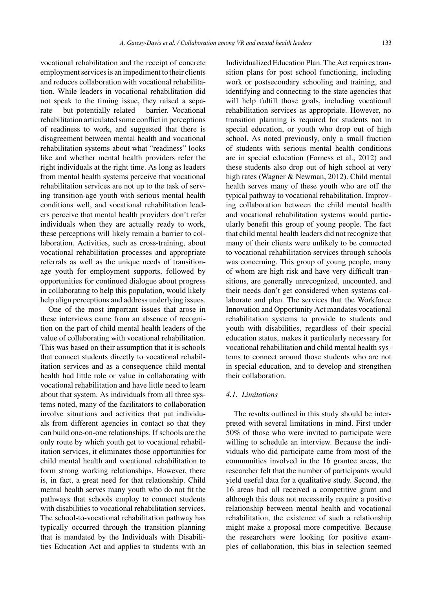vocational rehabilitation and the receipt of concrete employment services is an impediment to their clients and reduces collaboration with vocational rehabilitation. While leaders in vocational rehabilitation did not speak to the timing issue, they raised a separate – but potentially related – barrier. Vocational rehabilitation articulated some conflict in perceptions of readiness to work, and suggested that there is disagreement between mental health and vocational rehabilitation systems about what "readiness" looks like and whether mental health providers refer the right individuals at the right time. As long as leaders from mental health systems perceive that vocational rehabilitation services are not up to the task of serving transition-age youth with serious mental health conditions well, and vocational rehabilitation leaders perceive that mental health providers don't refer individuals when they are actually ready to work, these perceptions will likely remain a barrier to collaboration. Activities, such as cross-training, about vocational rehabilitation processes and appropriate referrals as well as the unique needs of transitionage youth for employment supports, followed by opportunities for continued dialogue about progress in collaborating to help this population, would likely help align perceptions and address underlying issues.

One of the most important issues that arose in these interviews came from an absence of recognition on the part of child mental health leaders of the value of collaborating with vocational rehabilitation. This was based on their assumption that it is schools that connect students directly to vocational rehabilitation services and as a consequence child mental health had little role or value in collaborating with vocational rehabilitation and have little need to learn about that system. As individuals from all three systems noted, many of the facilitators to collaboration involve situations and activities that put individuals from different agencies in contact so that they can build one-on-one relationships. If schools are the only route by which youth get to vocational rehabilitation services, it eliminates those opportunities for child mental health and vocational rehabilitation to form strong working relationships. However, there is, in fact, a great need for that relationship. Child mental health serves many youth who do not fit the pathways that schools employ to connect students with disabilities to vocational rehabilitation services. The school-to-vocational rehabilitation pathway has typically occurred through the transition planning that is mandated by the Individuals with Disabilities Education Act and applies to students with an

Individualized Education Plan. The Act requires transition plans for post school functioning, including work or postsecondary schooling and training, and identifying and connecting to the state agencies that will help fulfill those goals, including vocational rehabilitation services as appropriate. However, no transition planning is required for students not in special education, or youth who drop out of high school. As noted previously, only a small fraction of students with serious mental health conditions are in special education (Forness et al., 2012) and these students also drop out of high school at very high rates (Wagner & Newman, 2012). Child mental health serves many of these youth who are off the typical pathway to vocational rehabilitation. Improving collaboration between the child mental health and vocational rehabilitation systems would particularly benefit this group of young people. The fact that child mental health leaders did not recognize that many of their clients were unlikely to be connected to vocational rehabilitation services through schools was concerning. This group of young people, many of whom are high risk and have very difficult transitions, are generally unrecognized, uncounted, and their needs don't get considered when systems collaborate and plan. The services that the Workforce Innovation and Opportunity Act mandates vocational rehabilitation systems to provide to students and youth with disabilities, regardless of their special education status, makes it particularly necessary for vocational rehabilitation and child mental health systems to connect around those students who are not in special education, and to develop and strengthen their collaboration.

# *4.1. Limitations*

The results outlined in this study should be interpreted with several limitations in mind. First under 50% of those who were invited to participate were willing to schedule an interview. Because the individuals who did participate came from most of the communities involved in the 16 grantee areas, the researcher felt that the number of participants would yield useful data for a qualitative study. Second, the 16 areas had all received a competitive grant and although this does not necessarily require a positive relationship between mental health and vocational rehabilitation, the existence of such a relationship might make a proposal more competitive. Because the researchers were looking for positive examples of collaboration, this bias in selection seemed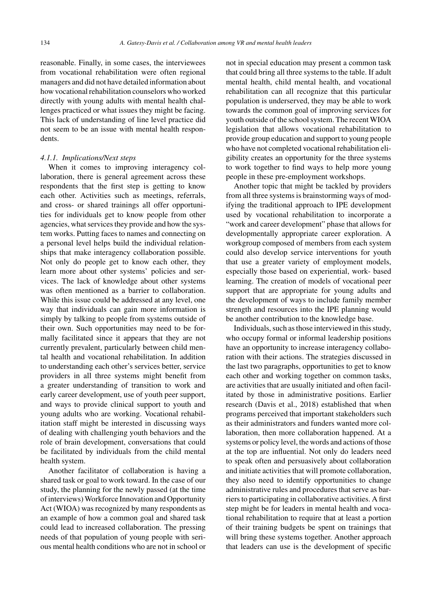reasonable. Finally, in some cases, the interviewees from vocational rehabilitation were often regional managers and did not have detailed information about how vocational rehabilitation counselors who worked directly with young adults with mental health challenges practiced or what issues they might be facing. This lack of understanding of line level practice did not seem to be an issue with mental health respondents.

### *4.1.1. Implications/Next steps*

When it comes to improving interagency collaboration, there is general agreement across these respondents that the first step is getting to know each other. Activities such as meetings, referrals, and cross- or shared trainings all offer opportunities for individuals get to know people from other agencies, what services they provide and how the system works. Putting faces to names and connecting on a personal level helps build the individual relationships that make interagency collaboration possible. Not only do people get to know each other, they learn more about other systems' policies and services. The lack of knowledge about other systems was often mentioned as a barrier to collaboration. While this issue could be addressed at any level, one way that individuals can gain more information is simply by talking to people from systems outside of their own. Such opportunities may need to be formally facilitated since it appears that they are not currently prevalent, particularly between child mental health and vocational rehabilitation. In addition to understanding each other's services better, service providers in all three systems might benefit from a greater understanding of transition to work and early career development, use of youth peer support, and ways to provide clinical support to youth and young adults who are working. Vocational rehabilitation staff might be interested in discussing ways of dealing with challenging youth behaviors and the role of brain development, conversations that could be facilitated by individuals from the child mental health system.

Another facilitator of collaboration is having a shared task or goal to work toward. In the case of our study, the planning for the newly passed (at the time of interviews) Workforce Innovation and Opportunity Act (WIOA) was recognized by many respondents as an example of how a common goal and shared task could lead to increased collaboration. The pressing needs of that population of young people with serious mental health conditions who are not in school or not in special education may present a common task that could bring all three systems to the table. If adult mental health, child mental health, and vocational rehabilitation can all recognize that this particular population is underserved, they may be able to work towards the common goal of improving services for youth outside of the school system. The recent WIOA legislation that allows vocational rehabilitation to provide group education and support to young people who have not completed vocational rehabilitation eligibility creates an opportunity for the three systems to work together to find ways to help more young people in these pre-employment workshops.

Another topic that might be tackled by providers from all three systems is brainstorming ways of modifying the traditional approach to IPE development used by vocational rehabilitation to incorporate a "work and career development" phase that allows for developmentally appropriate career exploration. A workgroup composed of members from each system could also develop service interventions for youth that use a greater variety of employment models, especially those based on experiential, work- based learning. The creation of models of vocational peer support that are appropriate for young adults and the development of ways to include family member strength and resources into the IPE planning would be another contribution to the knowledge base.

Individuals, such as those interviewed in this study, who occupy formal or informal leadership positions have an opportunity to increase interagency collaboration with their actions. The strategies discussed in the last two paragraphs, opportunities to get to know each other and working together on common tasks, are activities that are usually initiated and often facilitated by those in administrative positions. Earlier research (Davis et al., 2018) established that when programs perceived that important stakeholders such as their administrators and funders wanted more collaboration, then more collaboration happened. At a systems or policy level, the words and actions of those at the top are influential. Not only do leaders need to speak often and persuasively about collaboration and initiate activities that will promote collaboration, they also need to identify opportunities to change administrative rules and procedures that serve as barriers to participating in collaborative activities. A first step might be for leaders in mental health and vocational rehabilitation to require that at least a portion of their training budgets be spent on trainings that will bring these systems together. Another approach that leaders can use is the development of specific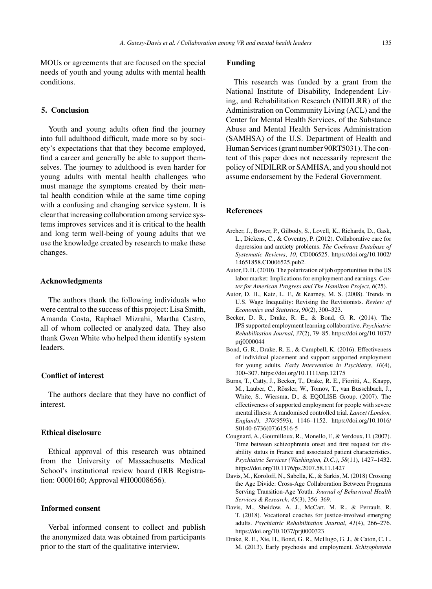MOUs or agreements that are focused on the special needs of youth and young adults with mental health conditions.

# **5. Conclusion**

Youth and young adults often find the journey into full adulthood difficult, made more so by society's expectations that that they become employed, find a career and generally be able to support themselves. The journey to adulthood is even harder for young adults with mental health challenges who must manage the symptoms created by their mental health condition while at the same time coping with a confusing and changing service system. It is clear that increasing collaboration among service systems improves services and it is critical to the health and long term well-being of young adults that we use the knowledge created by research to make these changes.

#### **Acknowledgments**

The authors thank the following individuals who were central to the success of this project: Lisa Smith, Amanda Costa, Raphael Mizrahi, Martha Castro, all of whom collected or analyzed data. They also thank Gwen White who helped them identify system leaders.

# **Conflict of interest**

The authors declare that they have no conflict of interest.

# **Ethical disclosure**

Ethical approval of this research was obtained from the University of Massachusetts Medical School's institutional review board (IRB Registration: 0000160; Approval #H00008656).

# **Informed consent**

Verbal informed consent to collect and publish the anonymized data was obtained from participants prior to the start of the qualitative interview.

# **Funding**

This research was funded by a grant from the National Institute of Disability, Independent Living, and Rehabilitation Research (NIDILRR) of the Administration on Community Living (ACL) and the Center for Mental Health Services, of the Substance Abuse and Mental Health Services Administration (SAMHSA) of the U.S. Department of Health and Human Services (grant number 90RT5031). The content of this paper does not necessarily represent the policy of NIDILRR or SAMHSA, and you should not assume endorsement by the Federal Government.

# **References**

- Archer, J., Bower, P., Gilbody, S., Lovell, K., Richards, D., Gask, L., Dickens, C., & Coventry, P. (2012). Collaborative care for depression and anxiety problems. *The Cochrane Database of Systematic Reviews*, *10*, CD006525. [https://doi.org/10.1002/](https://doi.org/10.1002/14651858.CD006525.pub2) 14651858.CD006525.pub2.
- Autor, D. H. (2010). The polarization of job opportunities in the US labor market: Implications for employment and earnings. *Center for American Progress and The Hamilton Project*, *6*(25).
- Autor, D. H., Katz, L. F., & Kearney, M. S. (2008). Trends in U.S. Wage Inequality: Revising the Revisionists. *Review of Economics and Statistics*, *90*(2), 300–323.
- Becker, D. R., Drake, R. E., & Bond, G. R. (2014). The IPS supported employment learning collaborative. *Psychiatric Rehabilitation Journal*, *37*(2), 79–85. [https://doi.org/10.1037/](https://doi.org/10.1037/prj0000044) prj0000044
- Bond, G. R., Drake, R. E., & Campbell, K. (2016). Effectiveness of individual placement and support supported employment for young adults. *Early Intervention in Psychiatry*, *10*(4), 300–307.<https://doi.org/10.1111/eip.12175>
- Burns, T., Catty, J., Becker, T., Drake, R. E., Fioritti, A., Knapp, M., Lauber, C., Rössler, W., Tomov, T., van Busschbach, J., White, S., Wiersma, D., & EQOLISE Group. (2007). The effectiveness of supported employment for people with severe mental illness: A randomised controlled trial. *Lancet (London, England)*, *370*(9593), 1146–1152. [https://doi.org/10.1016/](https://doi.org/10.1016/S0140-6736(07)61516-5) S0140-6736(07)61516-5
- Cougnard, A., Goumilloux, R., Monello, F., & Verdoux, H. (2007). Time between schizophrenia onset and first request for disability status in France and associated patient characteristics. *Psychiatric Services (Washington, D.C.)*, *58*(11), 1427–1432. <https://doi.org/10.1176/ps.2007.58.11.1427>
- Davis, M., Koroloff, N., Sabella, K., & Sarkis, M. (2018) Crossing the Age Divide: Cross-Age Collaboration Between Programs Serving Transition-Age Youth. *Journal of Behavioral Health Services & Research*, *45*(3), 356–369.
- Davis, M., Sheidow, A. J., McCart, M. R., & Perrault, R. T. (2018). Vocational coaches for justice-involved emerging adults. *Psychiatric Rehabilitation Journal*, *41*(4), 266–276. <https://doi.org/10.1037/prj0000323>
- Drake, R. E., Xie, H., Bond, G. R., McHugo, G. J., & Caton, C. L. M. (2013). Early psychosis and employment. *Schizophrenia*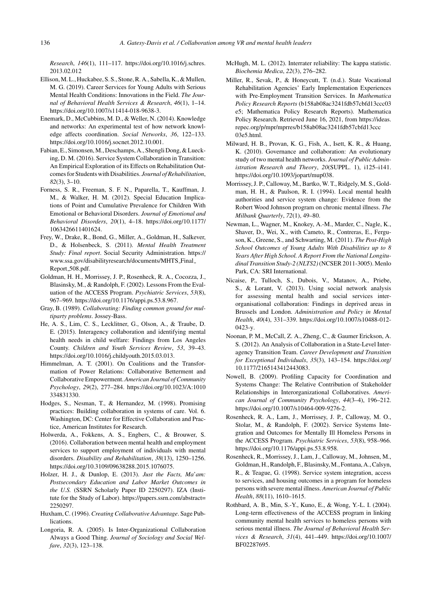*Research*, *146*(1), 111–117. [https://doi.org/10.1016/j.schres.](https://doi.org/10.1016/j.schres.2013.02.012) 2013.02.012

- Ellison, M. L., Huckabee, S. S., Stone, R. A., Sabella, K., & Mullen, M. G. (2019). Career Services for Young Adults with Serious Mental Health Conditions: Innovations in the Field. *The Journal of Behavioral Health Services & Research*, *46*(1), 1–14. [https://doi.org/10.1007/s11414-018-9638-3.](https://doi.org/10.1007/s11414-018-9638-3)
- Enemark, D., McCubbins, M. D., & Weller, N. (2014). Knowledge and networks: An experimental test of how network knowledge affects coordination. *Social Networks*, *36*, 122–133. <https://doi.org/10.1016/j.socnet.2012.10.001>.
- Fabian, E., Simonsen, M., Deschamps, A., Shengli Dong, & Luecking, D. M. (2016). Service System Collaboration in Transition: An Empirical Exploration of its Effects on Rehabilitation Outcomes for Students with Disabilities. *Journal of Rehabilitation*, *82*(3), 3–10.
- Forness, S. R., Freeman, S. F. N., Paparella, T., Kauffman, J. M., & Walker, H. M. (2012). Special Education Implications of Point and Cumulative Prevalence for Children With Emotional or Behavioral Disorders. *Journal of Emotional and Behavioral Disorders*, *20*(1), 4–18. [https://doi.org/10.1177/](https://doi.org/10.1177/1063426611401624) 1063426611401624.
- Frey, W., Drake, R., Bond, G., Miller, A., Goldman, H., Salkever, D., & Holsenbeck, S. (2011). *Mental Health Treatment Study: Final report*. Social Security Administration. https:// www.ssa.gov/disabilityresearch/documents/MHTS\_Final\_ Report 508.pdf.
- Goldman, H. H., Morrissey, J. P., Rosenheck, R. A., Cocozza, J., Blasinsky, M., & Randolph, F. (2002). Lessons From the Evaluation of the ACCESS Program. *Psychiatric Services*, *53*(8), 967–969. [https://doi.org/10.1176/appi.ps.53.8.967.](https://doi.org/10.1176/appi.ps.53.8.967)
- Gray, B. (1989). *Collaborating: Finding common ground for multiparty problems*. Jossey-Bass.
- He, A. S., Lim, C. S., Lecklitner, G., Olson, A., & Traube, D. E. (2015). Interagency collaboration and identifying mental health needs in child welfare: Findings from Los Angeles County. *Children and Youth Services Review*, *53*, 39–43. <https://doi.org/10.1016/j.childyouth.2015.03.013>.
- Himmelman, A. T. (2001). On Coalitions and the Transformation of Power Relations: Collaborative Betterment and Collaborative Empowerment.*American Journal of Community Psychology*, *29*(2), 277–284. [https://doi.org/10.1023/A:1010](https://doi.org/10.1023/A:1010334831330) 334831330.
- Hodges, S., Nesman, T., & Hernandez, M. (1998). Promising practices: Building collaboration in systems of care. Vol. 6. Washington, DC: Center for Effective Collaboration and Practice, American Institutes for Research.
- Holwerda, A., Fokkens, A. S., Engbers, C., & Brouwer, S. (2016). Collaboration between mental health and employment services to support employment of individuals with mental disorders. *Disability and Rehabilitation*, *38*(13), 1250–1256. [https://doi.org/10.3109/09638288.2015.1076075.](https://doi.org/10.3109/09638288.2015.1076075)
- Holzer, H. J., & Dunlop, E. (2013). *Just the Facts, Ma*'*am: Postsecondary Education and Labor Market Outcomes in the U.S.* (SSRN Scholarly Paper ID 2250297). IZA (Institute for the Study of Labor). [https://papers.ssrn.com/abstract=](https://papers.ssrn.com/abstract=2250297) 2250297.
- Huxham, C. (1996). *Creating Collaborative Advantage*. Sage Publications.
- Longoria, R. A. (2005). Is Inter-Organizational Collaboration Always a Good Thing. *Journal of Sociology and Social Welfare*, *32*(3), 123–138.
- McHugh, M. L. (2012). Interrater reliability: The kappa statistic. *Biochemia Medica*, *22*(3), 276–282.
- Miller, R., Sevak, P., & Honeycutt, T. (n.d.). State Vocational Rehabilitation Agencies' Early Implementation Experiences with Pre-Employment Transition Services. In *Mathematica Policy Research Reports* (b158ab08ac3241fdb57cbfd13ccc03 e5; Mathematica Policy Research Reports). Mathematica Policy Research. Retrieved June 16, 2021, from [https://ideas.](https://ideas.repec.org/p/mpr/mprres/ b158ab08ac3241fdb57cbfd13ccc03e5.html) repec.org/p/mpr/mprres/b158ab08ac3241fdb57cbfd13ccc 03e5.html.
- Milward, H. B., Provan, K. G., Fish, A., Isett, K. R., & Huang, K. (2010). Governance and collaboration: An evolutionary study of two mental health networks. *Journal of Public Administration Research and Theory*, *20*(SUPPL. 1), i125–i141. [https://doi.org/10.1093/jopart/mup038.](https://doi.org/10.1093/jopart/mup038)
- Morrissey, J. P., Calloway, M., Bartko, W. T., Ridgely, M. S., Goldman, H. H., & Paulson, R. I. (1994). Local mental health authorities and service system change: Evidence from the Robert Wood Johnson program on chronic mental illness. *The Milbank Quarterly*, *72*(1), 49–80.
- Newman, L., Wagner, M., Knokey, A.-M., Marder, C., Nagle, K., Shaver, D., Wei, X., with Cameto, R., Contreras, E., Ferguson, K., Greene, S., and Schwarting, M. (2011). *The Post-High School Outcomes of Young Adults With Disabilities up to 8 [Years](https://www.ssa.gov/disabilityresearch/documents/MHTS_Final_Report_508.pdf) [After](https://www.ssa.gov/disabilityresearch/documents/MHTS_Final_Report_508.pdf) [High](https://www.ssa.gov/disabilityresearch/documents/MHTS_Final_Report_508.pdf) [School.](https://www.ssa.gov/disabilityresearch/documents/MHTS_Final_Report_508.pdf) [A](https://www.ssa.gov/disabilityresearch/documents/MHTS_Final_Report_508.pdf) [Report](https://www.ssa.gov/disabilityresearch/documents/MHTS_Final_Report_508.pdf) [From](https://www.ssa.gov/disabilityresearch/documents/MHTS_Final_Report_508.pdf) [the](https://www.ssa.gov/disabilityresearch/documents/MHTS_Final_Report_508.pdf) [National](https://www.ssa.gov/disabilityresearch/documents/MHTS_Final_Report_508.pdf) [Longi](https://www.ssa.gov/disabilityresearch/documents/MHTS_Final_Report_508.pdf)tudinal Transition Study-2 (NLTS2)*(NCSER 2011-3005). Menlo Park, CA: SRI International.
- Nicaise, P., Tulloch, S., Dubois, V., Matanov, A., Priebe, S., & Lorant, V. (2013). Using social network analysis for assessing mental health and social services interorganisational collaboration: Findings in deprived areas in Brussels and London. *Administration and Policy in Mental Health*, *40*(4), 331–339. [https://doi.org/10.1007/s10488-012-](https://doi.org/10.1007/s10488-012-0423-y) 0423-y.
- Noonan, P. M., McCall, Z. A., Zheng, C., & Gaumer Erickson, A. S. (2012). An Analysis of Collaboration in a State-Level Interagency Transition Team. *Career Development and Transition for Exceptional Individuals*, *35*(3), 143–154. [https://doi.org/](https://doi.org/10.1177/2165143412443083) 10.1177/2165143412443083.
- Nowell, B. (2009). Profiling Capacity for Coordination and Systems Change: The Relative Contribution of Stakeholder Relationships in Interorganizational Collaboratives. *American Journal of Community Psychology*, *44*(3–4), 196–212. [https://doi.org/10.1007/s10464-009-9276-2.](https://doi.org/10.1007/s10464-009-9276-2)
- Rosenheck, R. A., Lam, J., Morrissey, J. P., Calloway, M. O., Stolar, M., & Randolph, F. (2002). Service Systems Integration and Outcomes for Mentally Ill Homeless Persons in the ACCESS Program. *Psychiatric Services*, *53*(8), 958–966. [https://doi.org/10.1176/appi.ps.53.8.958.](https://doi.org/10.1176/appi.ps.53.8.958)
- Rosenheck, R., Morrissey, J., Lam, J., Calloway, M., Johnsen, M., Goldman, H., Randolph, F., Blasinsky, M., Fontana, A., Calsyn, R., & Teague, G. (1998). Service system integration, access to services, and housing outcomes in a program for homeless persons with severe mental illness. *American Journal of Public Health*, *88*(11), 1610–1615.
- Rothbard, A. B., Min, S.-Y., Kuno, E., & Wong, Y.-L. I. (2004). Long-term effectiveness of the ACCESS program in linking community mental health services to homeless persons with serious mental illness. *The Journal of Behavioral Health Services & Research*, *31*(4), 441–449. [https://doi.org/10.1007/](https://doi.org/10.1007/BF02287695) BF02287695.